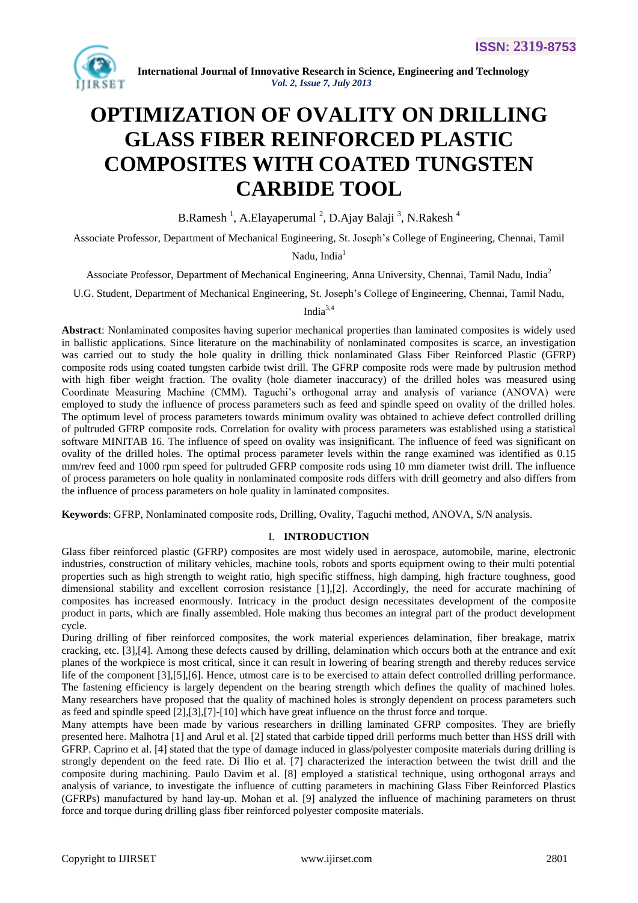

# **OPTIMIZATION OF OVALITY ON DRILLING GLASS FIBER REINFORCED PLASTIC COMPOSITES WITH COATED TUNGSTEN CARBIDE TOOL**

B.Ramesh<sup>1</sup>, A.Elayaperumal<sup>2</sup>, D.Ajay Balaji<sup>3</sup>, N.Rakesh<sup>4</sup>

Associate Professor, Department of Mechanical Engineering, St. Joseph"s College of Engineering, Chennai, Tamil

Nadu, India $<sup>1</sup>$ </sup>

Associate Professor, Department of Mechanical Engineering, Anna University, Chennai, Tamil Nadu, India<sup>2</sup>

U.G. Student, Department of Mechanical Engineering, St. Joseph"s College of Engineering, Chennai, Tamil Nadu,

Indi $a^{3,4}$ 

**Abstract**: Nonlaminated composites having superior mechanical properties than laminated composites is widely used in ballistic applications. Since literature on the machinability of nonlaminated composites is scarce, an investigation was carried out to study the hole quality in drilling thick nonlaminated Glass Fiber Reinforced Plastic (GFRP) composite rods using coated tungsten carbide twist drill. The GFRP composite rods were made by pultrusion method with high fiber weight fraction. The ovality (hole diameter inaccuracy) of the drilled holes was measured using Coordinate Measuring Machine (CMM). Taguchi"s orthogonal array and analysis of variance (ANOVA) were employed to study the influence of process parameters such as feed and spindle speed on ovality of the drilled holes. The optimum level of process parameters towards minimum ovality was obtained to achieve defect controlled drilling of pultruded GFRP composite rods. Correlation for ovality with process parameters was established using a statistical software MINITAB 16. The influence of speed on ovality was insignificant. The influence of feed was significant on ovality of the drilled holes. The optimal process parameter levels within the range examined was identified as 0.15 mm/rev feed and 1000 rpm speed for pultruded GFRP composite rods using 10 mm diameter twist drill. The influence of process parameters on hole quality in nonlaminated composite rods differs with drill geometry and also differs from the influence of process parameters on hole quality in laminated composites.

**Keywords**: GFRP, Nonlaminated composite rods, Drilling, Ovality, Taguchi method, ANOVA, S/N analysis.

# I. **INTRODUCTION**

Glass fiber reinforced plastic (GFRP) composites are most widely used in aerospace, automobile, marine, electronic industries, construction of military vehicles, machine tools, robots and sports equipment owing to their multi potential properties such as high strength to weight ratio, high specific stiffness, high damping, high fracture toughness, good dimensional stability and excellent corrosion resistance [1],[2]. Accordingly, the need for accurate machining of composites has increased enormously. Intricacy in the product design necessitates development of the composite product in parts, which are finally assembled. Hole making thus becomes an integral part of the product development cycle.

During drilling of fiber reinforced composites, the work material experiences delamination, fiber breakage, matrix cracking, etc. [3],[4]. Among these defects caused by drilling, delamination which occurs both at the entrance and exit planes of the workpiece is most critical, since it can result in lowering of bearing strength and thereby reduces service life of the component [3],[5],[6]. Hence, utmost care is to be exercised to attain defect controlled drilling performance. The fastening efficiency is largely dependent on the bearing strength which defines the quality of machined holes. Many researchers have proposed that the quality of machined holes is strongly dependent on process parameters such as feed and spindle speed [2],[3],[7]-[10] which have great influence on the thrust force and torque.

Many attempts have been made by various researchers in drilling laminated GFRP composites. They are briefly presented here. Malhotra [1] and Arul et al. [2] stated that carbide tipped drill performs much better than HSS drill with GFRP. Caprino et al. [4] stated that the type of damage induced in glass/polyester composite materials during drilling is strongly dependent on the feed rate. Di Ilio et al. [7] characterized the interaction between the twist drill and the composite during machining. Paulo Davim et al. [8] employed a statistical technique, using orthogonal arrays and analysis of variance, to investigate the influence of cutting parameters in machining Glass Fiber Reinforced Plastics (GFRPs) manufactured by hand lay-up. Mohan et al. [9] analyzed the influence of machining parameters on thrust force and torque during drilling glass fiber reinforced polyester composite materials.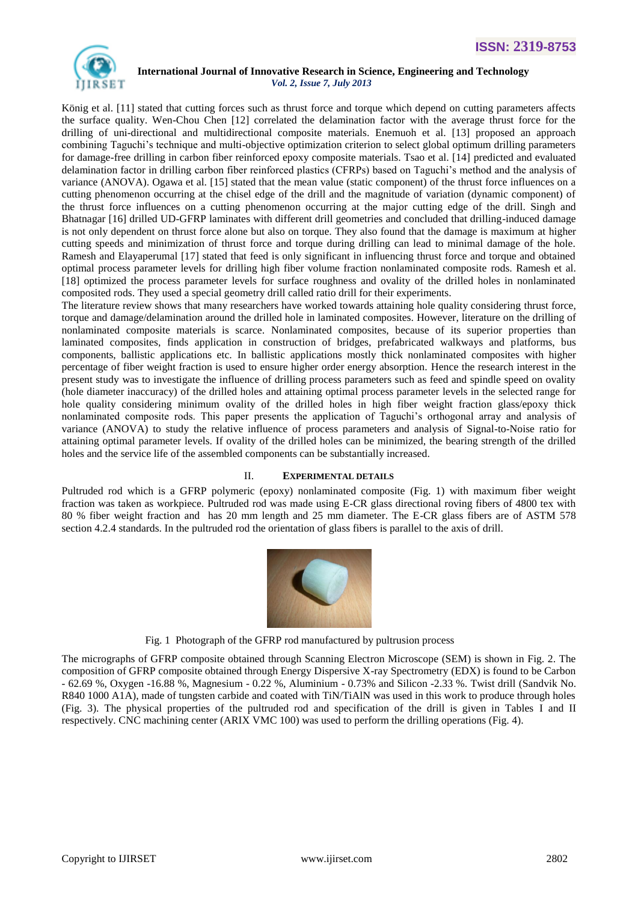

König et al. [11] stated that cutting forces such as thrust force and torque which depend on cutting parameters affects the surface quality. Wen-Chou Chen [12] correlated the delamination factor with the average thrust force for the drilling of uni-directional and multidirectional composite materials. Enemuoh et al. [13] proposed an approach combining Taguchi's technique and multi-objective optimization criterion to select global optimum drilling parameters for damage-free drilling in carbon fiber reinforced epoxy composite materials. Tsao et al. [14] predicted and evaluated delamination factor in drilling carbon fiber reinforced plastics (CFRPs) based on Taguchi"s method and the analysis of variance (ANOVA). Ogawa et al. [15] stated that the mean value (static component) of the thrust force influences on a cutting phenomenon occurring at the chisel edge of the drill and the magnitude of variation (dynamic component) of the thrust force influences on a cutting phenomenon occurring at the major cutting edge of the drill. Singh and Bhatnagar [16] drilled UD-GFRP laminates with different drill geometries and concluded that drilling-induced damage is not only dependent on thrust force alone but also on torque. They also found that the damage is maximum at higher cutting speeds and minimization of thrust force and torque during drilling can lead to minimal damage of the hole. Ramesh and Elayaperumal [17] stated that feed is only significant in influencing thrust force and torque and obtained optimal process parameter levels for drilling high fiber volume fraction nonlaminated composite rods. Ramesh et al. [18] optimized the process parameter levels for surface roughness and ovality of the drilled holes in nonlaminated composited rods. They used a special geometry drill called ratio drill for their experiments.

The literature review shows that many researchers have worked towards attaining hole quality considering thrust force, torque and damage/delamination around the drilled hole in laminated composites. However, literature on the drilling of nonlaminated composite materials is scarce. Nonlaminated composites, because of its superior properties than laminated composites, finds application in construction of bridges, prefabricated walkways and platforms, bus components, ballistic applications etc. In ballistic applications mostly thick nonlaminated composites with higher percentage of fiber weight fraction is used to ensure higher order energy absorption. Hence the research interest in the present study was to investigate the influence of drilling process parameters such as feed and spindle speed on ovality (hole diameter inaccuracy) of the drilled holes and attaining optimal process parameter levels in the selected range for hole quality considering minimum ovality of the drilled holes in high fiber weight fraction glass/epoxy thick nonlaminated composite rods. This paper presents the application of Taguchi"s orthogonal array and analysis of variance (ANOVA) to study the relative influence of process parameters and analysis of Signal-to-Noise ratio for attaining optimal parameter levels. If ovality of the drilled holes can be minimized, the bearing strength of the drilled holes and the service life of the assembled components can be substantially increased.

# II. **EXPERIMENTAL DETAILS**

Pultruded rod which is a GFRP polymeric (epoxy) nonlaminated composite (Fig. 1) with maximum fiber weight fraction was taken as workpiece. Pultruded rod was made using E-CR glass directional roving fibers of 4800 tex with 80 % fiber weight fraction and has 20 mm length and 25 mm diameter. The E-CR glass fibers are of ASTM 578 section 4.2.4 standards. In the pultruded rod the orientation of glass fibers is parallel to the axis of drill.



Fig. 1 Photograph of the GFRP rod manufactured by pultrusion process

The micrographs of GFRP composite obtained through Scanning Electron Microscope (SEM) is shown in Fig. 2. The composition of GFRP composite obtained through Energy Dispersive X-ray Spectrometry (EDX) is found to be Carbon - 62.69 %, Oxygen -16.88 %, Magnesium - 0.22 %, Aluminium - 0.73% and Silicon -2.33 %. Twist drill (Sandvik No. R840 1000 A1A), made of tungsten carbide and coated with TiN/TiAlN was used in this work to produce through holes (Fig. 3). The physical properties of the pultruded rod and specification of the drill is given in Tables I and II respectively. CNC machining center (ARIX VMC 100) was used to perform the drilling operations (Fig. 4).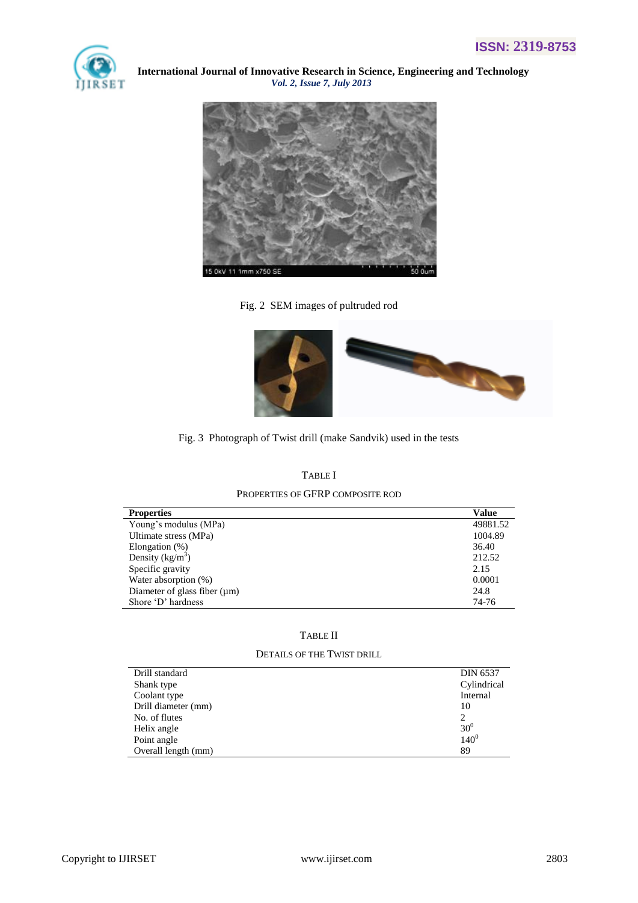



Fig. 2 SEM images of pultruded rod



Fig. 3 Photograph of Twist drill (make Sandvik) used in the tests

| <b>TABLE</b> I                   |  |
|----------------------------------|--|
| Properties of GFRP composite rod |  |

| <b>Properties</b>                 | <b>Value</b> |
|-----------------------------------|--------------|
| Young's modulus (MPa)             | 49881.52     |
| Ultimate stress (MPa)             | 1004.89      |
| Elongation (%)                    | 36.40        |
| Density $(kg/m3)$                 | 212.52       |
| Specific gravity                  | 2.15         |
| Water absorption $(\%)$           | 0.0001       |
| Diameter of glass fiber $(\mu m)$ | 24.8         |
| Shore 'D' hardness                | 74-76        |

# TABLE II

# DETAILS OF THE TWIST DRILL

| Drill standard      | <b>DIN 6537</b> |
|---------------------|-----------------|
| Shank type          | Cylindrical     |
| Coolant type        | Internal        |
| Drill diameter (mm) | 10              |
| No. of flutes       | 2               |
| Helix angle         | 30 <sup>0</sup> |
| Point angle         | $140^{0}$       |
| Overall length (mm) | 89              |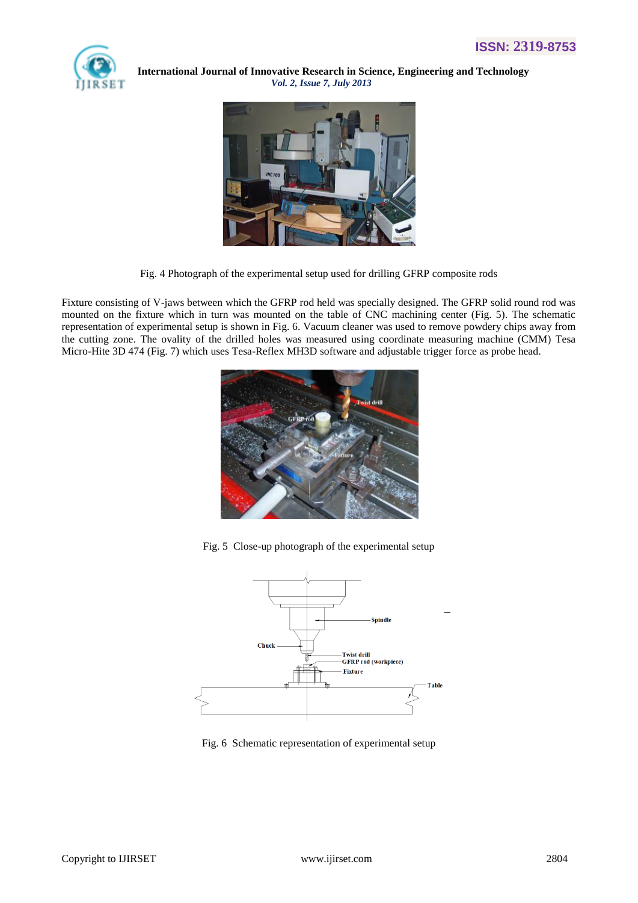



Fig. 4 Photograph of the experimental setup used for drilling GFRP composite rods

Fixture consisting of V-jaws between which the GFRP rod held was specially designed. The GFRP solid round rod was mounted on the fixture which in turn was mounted on the table of CNC machining center (Fig. 5). The schematic representation of experimental setup is shown in Fig. 6. Vacuum cleaner was used to remove powdery chips away from the cutting zone. The ovality of the drilled holes was measured using coordinate measuring machine (CMM) Tesa Micro-Hite 3D 474 (Fig. 7) which uses Tesa-Reflex MH3D software and adjustable trigger force as probe head.



Fig. 5 Close-up photograph of the experimental setup



Fig. 6 Schematic representation of experimental setup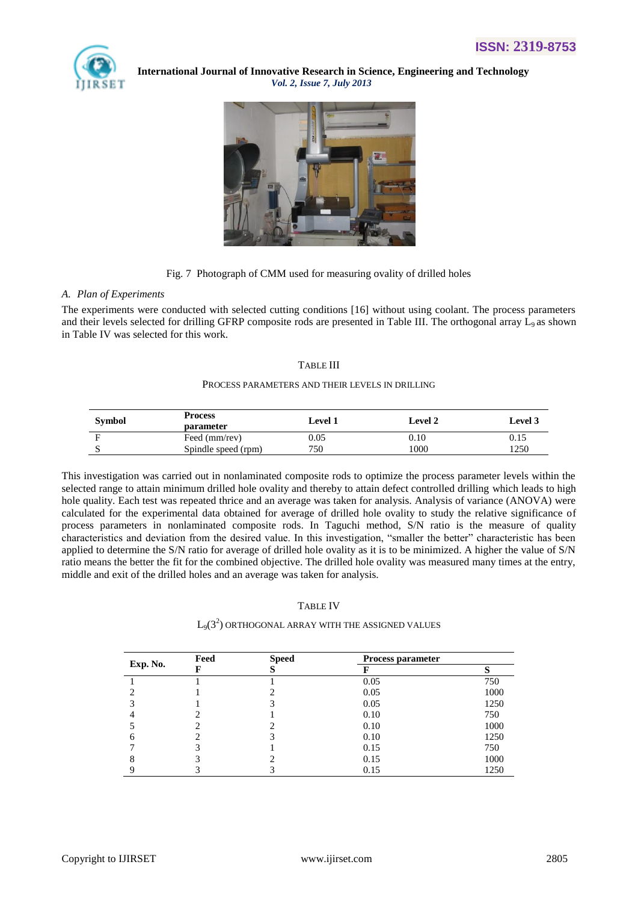



Fig. 7 Photograph of CMM used for measuring ovality of drilled holes

#### *A. Plan of Experiments*

The experiments were conducted with selected cutting conditions [16] without using coolant. The process parameters and their levels selected for drilling GFRP composite rods are presented in Table III. The orthogonal array  $L_9$  as shown in Table IV was selected for this work.

# TABLE III

#### PROCESS PARAMETERS AND THEIR LEVELS IN DRILLING

| <b>Symbol</b> | <b>Process</b><br><b>parameter</b> | <b>Level 1</b> | <b>Level 2</b> | <b>Level</b> 3 |
|---------------|------------------------------------|----------------|----------------|----------------|
| Е             | Feed (mm/rev)                      | 0.05           | 0.10           | 0.15           |
|               | Spindle speed (rpm)                | 750            | 1000           | 1250           |

This investigation was carried out in nonlaminated composite rods to optimize the process parameter levels within the selected range to attain minimum drilled hole ovality and thereby to attain defect controlled drilling which leads to high hole quality. Each test was repeated thrice and an average was taken for analysis. Analysis of variance (ANOVA) were calculated for the experimental data obtained for average of drilled hole ovality to study the relative significance of process parameters in nonlaminated composite rods. In Taguchi method, S/N ratio is the measure of quality characteristics and deviation from the desired value. In this investigation, "smaller the better" characteristic has been applied to determine the S/N ratio for average of drilled hole ovality as it is to be minimized. A higher the value of S/N ratio means the better the fit for the combined objective. The drilled hole ovality was measured many times at the entry, middle and exit of the drilled holes and an average was taken for analysis.

# TABLE IV

# $\rm L_9(3^2)$  ORTHOGONAL ARRAY WITH THE ASSIGNED VALUES

| Exp. No. | Feed | <b>Speed</b> | <b>Process parameter</b> |      |  |
|----------|------|--------------|--------------------------|------|--|
|          |      |              |                          |      |  |
|          |      |              | 0.05                     | 750  |  |
|          |      |              | 0.05                     | 1000 |  |
|          |      |              | 0.05                     | 1250 |  |
|          |      |              | 0.10                     | 750  |  |
|          |      |              | 0.10                     | 1000 |  |
|          |      |              | 0.10                     | 1250 |  |
|          |      |              | 0.15                     | 750  |  |
|          |      |              | 0.15                     | 1000 |  |
|          |      |              | 0.15                     | 1250 |  |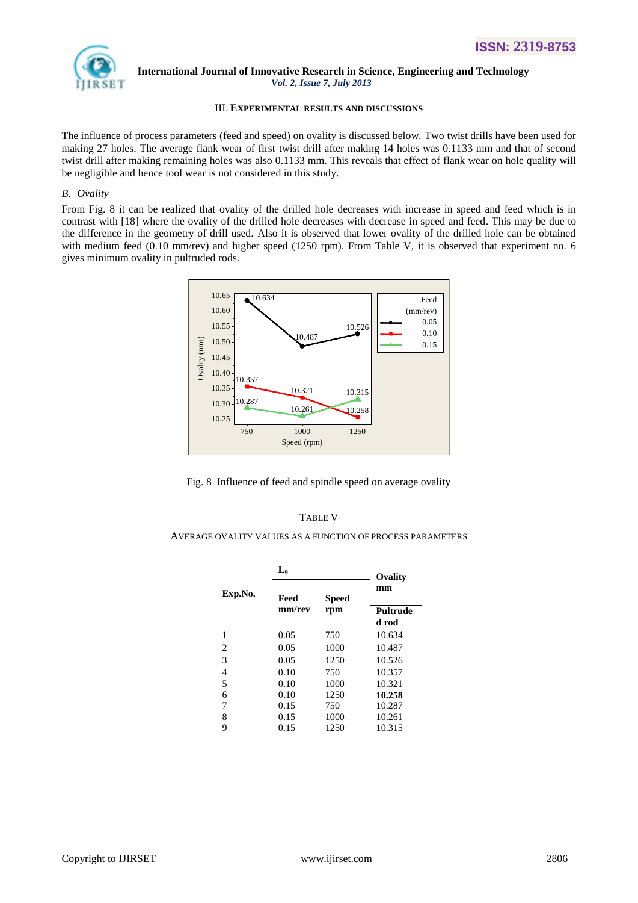

# III. **EXPERIMENTAL RESULTS AND DISCUSSIONS**

The influence of process parameters (feed and speed) on ovality is discussed below. Two twist drills have been used for making 27 holes. The average flank wear of first twist drill after making 14 holes was 0.1133 mm and that of second twist drill after making remaining holes was also 0.1133 mm. This reveals that effect of flank wear on hole quality will be negligible and hence tool wear is not considered in this study.

# *B. Ovality*

From Fig. 8 it can be realized that ovality of the drilled hole decreases with increase in speed and feed which is in contrast with [18] where the ovality of the drilled hole decreases with decrease in speed and feed. This may be due to the difference in the geometry of drill used. Also it is observed that lower ovality of the drilled hole can be obtained with medium feed (0.10 mm/rev) and higher speed (1250 rpm). From Table V, it is observed that experiment no. 6 gives minimum ovality in pultruded rods.



Fig. 8 Influence of feed and spindle speed on average ovality

# TABLE V

AVERAGE OVALITY VALUES AS A FUNCTION OF PROCESS PARAMETERS

|         | L <sub>o</sub> |              |                   |  |
|---------|----------------|--------------|-------------------|--|
| Exp.No. | Feed           | <b>Speed</b> | mm                |  |
|         | mm/rev         | rpm          | Pultrude<br>d rod |  |
| 1       | 0.05           | 750          | 10.634            |  |
| 2       | 0.05           | 1000         | 10.487            |  |
| 3       | 0.05           | 1250         | 10.526            |  |
| 4       | 0.10           | 750          | 10.357            |  |
| 5       | 0.10           | 1000         | 10.321            |  |
| 6       | 0.10           | 1250         | 10.258            |  |
| 7       | 0.15           | 750          | 10.287            |  |
| 8       | 0.15           | 1000         | 10.261            |  |
| 9       | 0.15           | 1250         | 10.315            |  |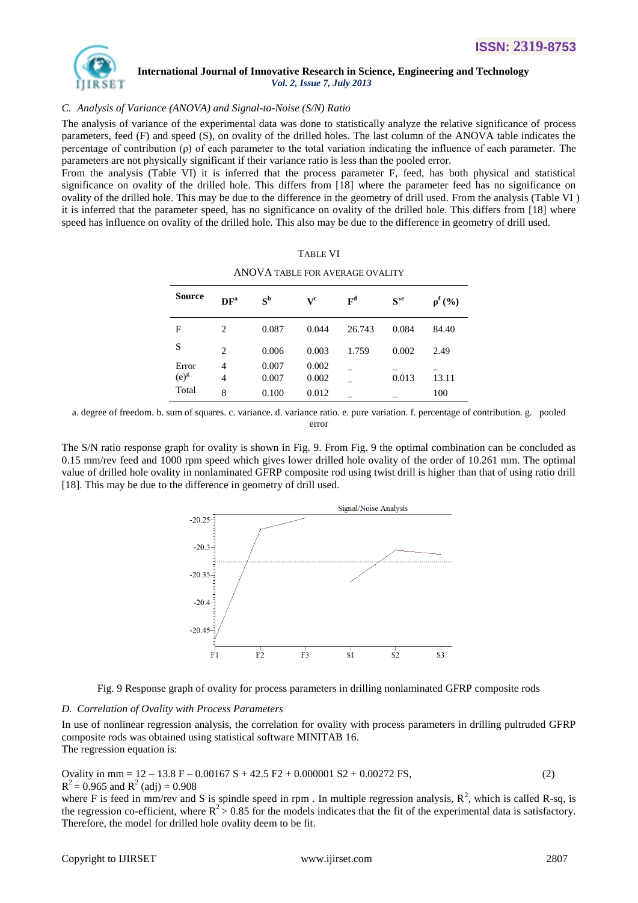

# *C. Analysis of Variance (ANOVA) and Signal-to-Noise (S/N) Ratio*

The analysis of variance of the experimental data was done to statistically analyze the relative significance of process parameters, feed (F) and speed (S), on ovality of the drilled holes. The last column of the ANOVA table indicates the percentage of contribution ( $\rho$ ) of each parameter to the total variation indicating the influence of each parameter. The parameters are not physically significant if their variance ratio is less than the pooled error.

From the analysis (Table VI) it is inferred that the process parameter F, feed, has both physical and statistical significance on ovality of the drilled hole. This differs from [18] where the parameter feed has no significance on ovality of the drilled hole. This may be due to the difference in the geometry of drill used. From the analysis (Table VI ) it is inferred that the parameter speed, has no significance on ovality of the drilled hole. This differs from [18] where speed has influence on ovality of the drilled hole. This also may be due to the difference in geometry of drill used.

| <b>Source</b> | DF <sup>a</sup> | $S^{\rm b}$ | $\mathbf{V}^{\mathbf{c}}$ | $\mathbf{F}^{\mathbf{d}}$ | $S^{,e}$ | $\rho^{f}(\%)$ |
|---------------|-----------------|-------------|---------------------------|---------------------------|----------|----------------|
| F             | 2               | 0.087       | 0.044                     | 26.743                    | 0.084    | 84.40          |
| S             | 2               | 0.006       | 0.003                     | 1.759                     | 0.002    | 2.49           |
| Error         | $\overline{4}$  | 0.007       | 0.002                     |                           |          |                |
| $(e)^g$       | 4               | 0.007       | 0.002                     |                           | 0.013    | 13.11          |
| Total         | 8               | 0.100       | 0.012                     |                           |          | 100            |

TABLE VI ANOVA TABLE FOR AVERAGE OVALITY

a. degree of freedom. b. sum of squares. c. variance. d. variance ratio. e. pure variation. f. percentage of contribution. g. pooled error

The S/N ratio response graph for ovality is shown in Fig. 9. From Fig. 9 the optimal combination can be concluded as 0.15 mm/rev feed and 1000 rpm speed which gives lower drilled hole ovality of the order of 10.261 mm. The optimal value of drilled hole ovality in nonlaminated GFRP composite rod using twist drill is higher than that of using ratio drill [18]. This may be due to the difference in geometry of drill used.





#### *D. Correlation of Ovality with Process Parameters*

In use of nonlinear regression analysis, the correlation for ovality with process parameters in drilling pultruded GFRP composite rods was obtained using statistical software MINITAB 16. The regression equation is:

Ovality in mm =  $12 - 13.8$  F – 0.00167 S + 42.5 F2 + 0.000001 S2 + 0.00272 FS, (2)  $R^2 = 0.965$  and  $R^2$  (adj) = 0.908

where F is feed in mm/rev and S is spindle speed in rpm. In multiple regression analysis,  $R^2$ , which is called R-sq, is the regression co-efficient, where  $R^2 > 0.85$  for the models indicates that the fit of the experimental data is satisfactory. Therefore, the model for drilled hole ovality deem to be fit.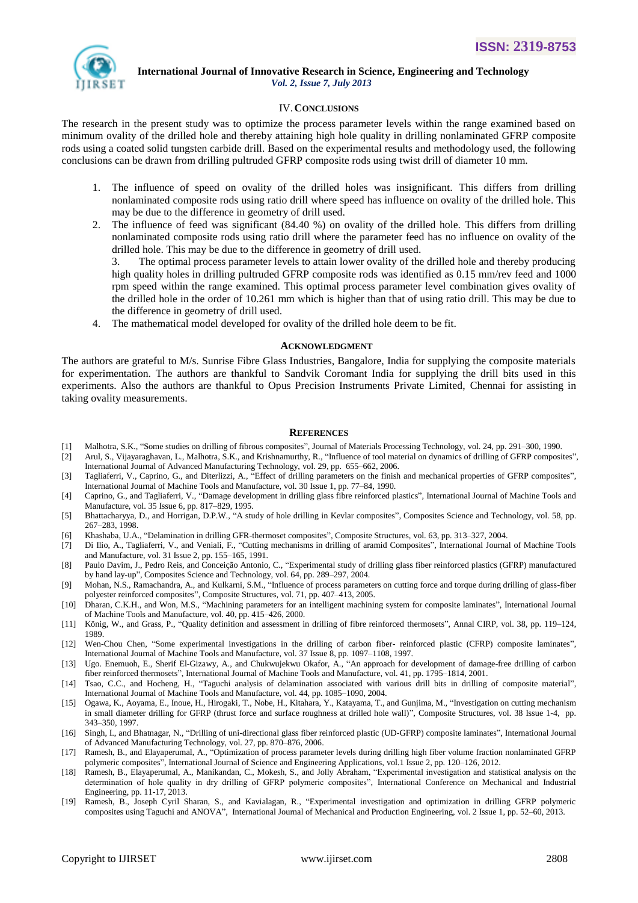

#### IV.**CONCLUSIONS**

The research in the present study was to optimize the process parameter levels within the range examined based on minimum ovality of the drilled hole and thereby attaining high hole quality in drilling nonlaminated GFRP composite rods using a coated solid tungsten carbide drill. Based on the experimental results and methodology used, the following conclusions can be drawn from drilling pultruded GFRP composite rods using twist drill of diameter 10 mm.

- 1. The influence of speed on ovality of the drilled holes was insignificant. This differs from drilling nonlaminated composite rods using ratio drill where speed has influence on ovality of the drilled hole. This may be due to the difference in geometry of drill used.
- 2. The influence of feed was significant (84.40 %) on ovality of the drilled hole. This differs from drilling nonlaminated composite rods using ratio drill where the parameter feed has no influence on ovality of the drilled hole. This may be due to the difference in geometry of drill used.

3. The optimal process parameter levels to attain lower ovality of the drilled hole and thereby producing high quality holes in drilling pultruded GFRP composite rods was identified as 0.15 mm/rev feed and 1000 rpm speed within the range examined. This optimal process parameter level combination gives ovality of the drilled hole in the order of 10.261 mm which is higher than that of using ratio drill. This may be due to the difference in geometry of drill used.

4. The mathematical model developed for ovality of the drilled hole deem to be fit.

#### **ACKNOWLEDGMENT**

The authors are grateful to M/s. Sunrise Fibre Glass Industries, Bangalore, India for supplying the composite materials for experimentation. The authors are thankful to Sandvik Coromant India for supplying the drill bits used in this experiments. Also the authors are thankful to Opus Precision Instruments Private Limited, Chennai for assisting in taking ovality measurements.

#### **REFERENCES**

- [1] Malhotra, S.K., "Some studies on drilling of fibrous composites", Journal of Materials Processing Technology, vol. 24, pp. 291–300, 1990.
- [2] Arul, S., Vijayaraghavan, L., Malhotra, S.K., and Krishnamurthy, R., "Influence of tool material on dynamics of drilling of GFRP composites", International Journal of Advanced Manufacturing Technology, vol. 29, pp. 655–662, 2006.
- [3] Tagliaferri, V., Caprino, G., and Diterlizzi, A., "Effect of drilling parameters on the finish and mechanical properties of GFRP composites", International Journal of Machine Tools and Manufacture, vol. 30 Issue 1, pp. 77–84, 1990.
- [4] Caprino, G., and Tagliaferri, V., "Damage development in drilling glass fibre reinforced plastics", International Journal of Machine Tools and Manufacture, vol. 35 Issue 6, pp. 817–829, 1995.
- [5] Bhattacharyya, D., and Horrigan, D.P.W., "A study of hole drilling in Kevlar composites", Composites Science and Technology, vol. 58, pp. 267–283, 1998.
- [6] Khashaba, U.A., "Delamination in drilling GFR-thermoset composites", Composite Structures, vol. 63, pp. 313–327, 2004.
- [7] Di Ilio, A., Tagliaferri, V., and Veniali, F., "Cutting mechanisms in drilling of aramid Composites", International Journal of Machine Tools and Manufacture, vol. 31 Issue 2, pp. 155–165, 1991.
- [8] Paulo Davim, J., Pedro Reis, and Conceição Antonio, C., "Experimental study of drilling glass fiber reinforced plastics (GFRP) manufactured by hand lay-up", Composites Science and Technology, vol. 64, pp. 289–297, 2004.
- [9] Mohan, N.S., Ramachandra, A., and Kulkarni, S.M., "Influence of process parameters on cutting force and torque during drilling of glass-fiber polyester reinforced composites", Composite Structures, vol. 71, pp. 407–413, 2005.
- [10] Dharan, C.K.H., and Won, M.S., "Machining parameters for an intelligent machining system for composite laminates", International Journal of Machine Tools and Manufacture, vol. 40, pp. 415–426, 2000.
- [11] König, W., and Grass, P., "Quality definition and assessment in drilling of fibre reinforced thermosets", Annal CIRP, vol. 38, pp. 119–124, 1989.
- [12] Wen-Chou Chen, "Some experimental investigations in the drilling of carbon fiber- reinforced plastic (CFRP) composite laminates", International Journal of Machine Tools and Manufacture, vol. 37 Issue 8, pp. 1097–1108, 1997.
- [13] Ugo. Enemuoh, E., Sherif El-Gizawy, A., and Chukwujekwu Okafor, A., "An approach for development of damage-free drilling of carbon fiber reinforced thermosets", International Journal of Machine Tools and Manufacture, vol. 41, pp. 1795–1814, 2001.
- [14] Tsao, C.C., and Hocheng, H., "Taguchi analysis of delamination associated with various drill bits in drilling of composite material", International Journal of Machine Tools and Manufacture, vol. 44, pp. 1085–1090, 2004.
- [15] Ogawa, K., Aoyama, E., Inoue, H., Hirogaki, T., Nobe, H., Kitahara, Y., Katayama, T., and Gunjima, M., "Investigation on cutting mechanism in small diameter drilling for GFRP (thrust force and surface roughness at drilled hole wall)", Composite Structures, vol. 38 Issue 1-4, pp. 343–350, 1997.
- [16] Singh, I., and Bhatnagar, N., "Drilling of uni-directional glass fiber reinforced plastic (UD-GFRP) composite laminates", International Journal of Advanced Manufacturing Technology, vol. 27, pp. 870–876, 2006.
- [17] Ramesh, B., and Elayaperumal, A., "Optimization of process parameter levels during drilling high fiber volume fraction nonlaminated GFRP polymeric composites", International Journal of Science and Engineering Applications, vol.1 Issue 2, pp. 120–126, 2012.
- [18] Ramesh, B., Elayaperumal, A., Manikandan, C., Mokesh, S., and Jolly Abraham, "Experimental investigation and statistical analysis on the determination of hole quality in dry drilling of GFRP polymeric composites", International Conference on Mechanical and Industrial Engineering, pp. 11-17, 2013.
- [19] Ramesh, B., Joseph Cyril Sharan, S., and Kavialagan, R., "Experimental investigation and optimization in drilling GFRP polymeric composites using Taguchi and ANOVA", International Journal of Mechanical and Production Engineering, vol. 2 Issue 1, pp. 52–60, 2013.